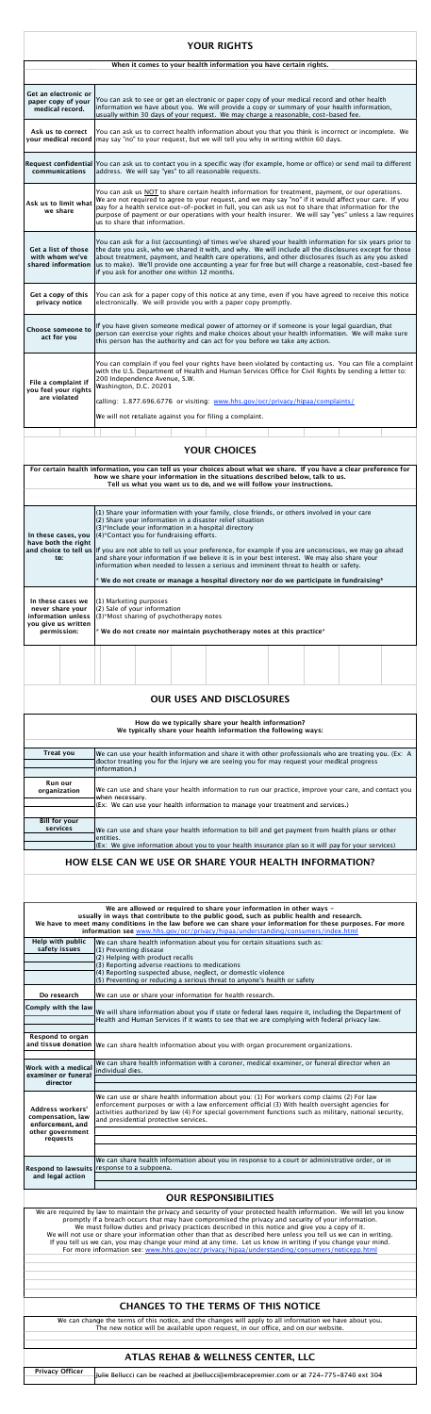## **YOUR RIGHTS**

| When it comes to your health information you have certain rights. |                                                                                                                                                                                                                                                                                                                                                                                                                                                                                    |  |  |  |  |  |
|-------------------------------------------------------------------|------------------------------------------------------------------------------------------------------------------------------------------------------------------------------------------------------------------------------------------------------------------------------------------------------------------------------------------------------------------------------------------------------------------------------------------------------------------------------------|--|--|--|--|--|
|                                                                   |                                                                                                                                                                                                                                                                                                                                                                                                                                                                                    |  |  |  |  |  |
| Get an electronic or<br>paper copy of your<br>medical record.     | You can ask to see or get an electronic or paper copy of your medical record and other health<br>information we have about you. We will provide a copy or summary of your health information,<br>usually within 30 days of your request. We may charge a reasonable, cost-based fee.                                                                                                                                                                                               |  |  |  |  |  |
| Ask us to correct<br>your medical record                          | You can ask us to correct health information about you that you think is incorrect or incomplete. We<br>may say "no" to your request, but we will tell you why in writing within 60 days.                                                                                                                                                                                                                                                                                          |  |  |  |  |  |
| communications                                                    | Request confidential You can ask us to contact you in a specific way (for example, home or office) or send mail to different<br>address. We will say "yes" to all reasonable requests.                                                                                                                                                                                                                                                                                             |  |  |  |  |  |
| Ask us to limit what<br>we share                                  | You can ask us NOT to share certain health information for treatment, payment, or our operations.<br>We are not required to agree to your request, and we may say "no" if it would affect your care. If you<br>pay for a health service out-of-pocket in full, you can ask us not to share that information for the<br>purpose of payment or our operations with your health insurer. We will say "yes" unless a law requires<br>us to share that information.                     |  |  |  |  |  |
| Get a list of those<br>with whom we've<br>shared information      | You can ask for a list (accounting) of times we've shared your health information for six years prior to<br>the date you ask, who we shared it with, and why. We will include all the disclosures except for those<br>about treatment, payment, and health care operations, and other disclosures (such as any you asked<br>us to make). We'll provide one accounting a year for free but will charge a reasonable, cost-based fee<br>if you ask for another one within 12 months. |  |  |  |  |  |
| Get a copy of this<br>privacy notice                              | You can ask for a paper copy of this notice at any time, even if you have agreed to receive this notice<br>electronically. We will provide you with a paper copy promptly.                                                                                                                                                                                                                                                                                                         |  |  |  |  |  |
| <b>Choose someone to</b><br>act for you                           | If you have given someone medical power of attorney or if someone is your legal guardian, that<br>person can exercise your rights and make choices about your health information. We will make sure<br>this person has the authority and can act for you before we take any action.                                                                                                                                                                                                |  |  |  |  |  |
| File a complaint if<br>you feel your rights<br>are violated       | You can complain if you feel your rights have been violated by contacting us. You can file a complaint<br>with the U.S. Department of Health and Human Services Office for Civil Rights by sending a letter to:<br>200 Independence Avenue, S.W.<br>Washington, D.C. 20201<br>calling: 1.877.696.6776 or visiting: www.hhs.gov/ocr/privacy/hipaa/complaints/<br>We will not retaliate against you for filing a complaint.                                                          |  |  |  |  |  |

## **YOUR CHOICES**

**For certain health information, you can tell us your choices about what we share. If you have a clear preference for how we share your information in the situations described below, talk to us. Tell us what you want us to do, and we will follow your instructions.**

> (1) Share your information with your family, close friends, or others involved in your care (2) Share your information in a disaster relief situation

| In these cases, you<br>have both the right                                                                                                                                                                                                                                                                                                                                                                                                                                                                                                                                                                                                                             | (3)*Include your information in a hospital directory<br>(4)*Contact you for fundraising efforts.                                                                                                                                                                                                                  |  |  |  |  |  |
|------------------------------------------------------------------------------------------------------------------------------------------------------------------------------------------------------------------------------------------------------------------------------------------------------------------------------------------------------------------------------------------------------------------------------------------------------------------------------------------------------------------------------------------------------------------------------------------------------------------------------------------------------------------------|-------------------------------------------------------------------------------------------------------------------------------------------------------------------------------------------------------------------------------------------------------------------------------------------------------------------|--|--|--|--|--|
| to:                                                                                                                                                                                                                                                                                                                                                                                                                                                                                                                                                                                                                                                                    | and choice to tell us If you are not able to tell us your preference, for example if you are unconscious, we may go ahead<br>and share your information if we believe it is in your best interest. We may also share your<br>information when needed to lessen a serious and imminent threat to health or safety. |  |  |  |  |  |
|                                                                                                                                                                                                                                                                                                                                                                                                                                                                                                                                                                                                                                                                        | * We do not create or manage a hospital directory nor do we participate in fundraising*                                                                                                                                                                                                                           |  |  |  |  |  |
| In these cases we<br>never share your<br>information unless<br>you give us written                                                                                                                                                                                                                                                                                                                                                                                                                                                                                                                                                                                     | (1) Marketing purposes<br>(2) Sale of your information<br>(3)*Most sharing of psychotherapy notes                                                                                                                                                                                                                 |  |  |  |  |  |
| permission:                                                                                                                                                                                                                                                                                                                                                                                                                                                                                                                                                                                                                                                            | * We do not create nor maintain psychotherapy notes at this practice*                                                                                                                                                                                                                                             |  |  |  |  |  |
|                                                                                                                                                                                                                                                                                                                                                                                                                                                                                                                                                                                                                                                                        |                                                                                                                                                                                                                                                                                                                   |  |  |  |  |  |
|                                                                                                                                                                                                                                                                                                                                                                                                                                                                                                                                                                                                                                                                        |                                                                                                                                                                                                                                                                                                                   |  |  |  |  |  |
|                                                                                                                                                                                                                                                                                                                                                                                                                                                                                                                                                                                                                                                                        | <b>OUR USES AND DISCLOSURES</b>                                                                                                                                                                                                                                                                                   |  |  |  |  |  |
|                                                                                                                                                                                                                                                                                                                                                                                                                                                                                                                                                                                                                                                                        | How do we typically share your health information?<br>We typically share your health information the following ways:                                                                                                                                                                                              |  |  |  |  |  |
| <b>Treat you</b>                                                                                                                                                                                                                                                                                                                                                                                                                                                                                                                                                                                                                                                       | We can use your health information and share it with other professionals who are treating you. (Ex: A<br>doctor treating you for the injury we are seeing you for may request your medical progress<br>information.)                                                                                              |  |  |  |  |  |
| <b>Run our</b><br>organization                                                                                                                                                                                                                                                                                                                                                                                                                                                                                                                                                                                                                                         | We can use and share your health information to run our practice, improve your care, and contact you<br>when necessary.<br>(Ex: We can use your health information to manage your treatment and services.)                                                                                                        |  |  |  |  |  |
| <b>Bill for your</b><br>services                                                                                                                                                                                                                                                                                                                                                                                                                                                                                                                                                                                                                                       | We can use and share your health information to bill and get payment from health plans or other<br>entities.                                                                                                                                                                                                      |  |  |  |  |  |
|                                                                                                                                                                                                                                                                                                                                                                                                                                                                                                                                                                                                                                                                        | (Ex: We give information about you to your health insurance plan so it will pay for your services)<br>HOW ELSE CAN WE USE OR SHARE YOUR HEALTH INFORMATION?                                                                                                                                                       |  |  |  |  |  |
|                                                                                                                                                                                                                                                                                                                                                                                                                                                                                                                                                                                                                                                                        |                                                                                                                                                                                                                                                                                                                   |  |  |  |  |  |
|                                                                                                                                                                                                                                                                                                                                                                                                                                                                                                                                                                                                                                                                        | We are allowed or required to share your information in other ways -                                                                                                                                                                                                                                              |  |  |  |  |  |
|                                                                                                                                                                                                                                                                                                                                                                                                                                                                                                                                                                                                                                                                        | usually in ways that contribute to the public good, such as public health and research.<br>We have to meet many conditions in the law before we can share your information for these purposes. For more<br>information see www.hhs.gov/ocr/privacy/hipaa/understanding/consumers/index.html                       |  |  |  |  |  |
| Help with public<br>safety issues                                                                                                                                                                                                                                                                                                                                                                                                                                                                                                                                                                                                                                      | We can share health information about you for certain situations such as:                                                                                                                                                                                                                                         |  |  |  |  |  |
|                                                                                                                                                                                                                                                                                                                                                                                                                                                                                                                                                                                                                                                                        | (1) Preventing disease<br>(2) Helping with product recalls<br>(3) Reporting adverse reactions to medications                                                                                                                                                                                                      |  |  |  |  |  |
|                                                                                                                                                                                                                                                                                                                                                                                                                                                                                                                                                                                                                                                                        | (4) Reporting suspected abuse, neglect, or domestic violence<br>(5) Preventing or reducing a serious threat to anyone's health or safety                                                                                                                                                                          |  |  |  |  |  |
| Do research                                                                                                                                                                                                                                                                                                                                                                                                                                                                                                                                                                                                                                                            | We can use or share your information for health research.                                                                                                                                                                                                                                                         |  |  |  |  |  |
| Comply with the law                                                                                                                                                                                                                                                                                                                                                                                                                                                                                                                                                                                                                                                    | We will share information about you if state or federal laws require it, including the Department of<br>Health and Human Services if it wants to see that we are complying with federal privacy law.                                                                                                              |  |  |  |  |  |
| <b>Respond to organ</b>                                                                                                                                                                                                                                                                                                                                                                                                                                                                                                                                                                                                                                                | and tissue donation $ $ We can share health information about you with organ procurement organizations.                                                                                                                                                                                                           |  |  |  |  |  |
| Work with a medical<br>examiner or funeral<br>director                                                                                                                                                                                                                                                                                                                                                                                                                                                                                                                                                                                                                 | We can share health information with a coroner, medical examiner, or funeral director when an<br>individual dies.                                                                                                                                                                                                 |  |  |  |  |  |
|                                                                                                                                                                                                                                                                                                                                                                                                                                                                                                                                                                                                                                                                        | We can use or share health information about you: (1) For workers comp claims (2) For law                                                                                                                                                                                                                         |  |  |  |  |  |
| <b>Address workers'</b><br>compensation, law<br>enforcement, and                                                                                                                                                                                                                                                                                                                                                                                                                                                                                                                                                                                                       | enforcement purposes or with a law enforcement official (3) With health oversight agencies for<br>activities authorized by law (4) For special government functions such as military, national security,<br>and presidential protective services.                                                                 |  |  |  |  |  |
| other government<br>requests                                                                                                                                                                                                                                                                                                                                                                                                                                                                                                                                                                                                                                           |                                                                                                                                                                                                                                                                                                                   |  |  |  |  |  |
|                                                                                                                                                                                                                                                                                                                                                                                                                                                                                                                                                                                                                                                                        | We can share health information about you in response to a court or administrative order, or in<br>Respond to lawsuits response to a subpoena.                                                                                                                                                                    |  |  |  |  |  |
| and legal action                                                                                                                                                                                                                                                                                                                                                                                                                                                                                                                                                                                                                                                       |                                                                                                                                                                                                                                                                                                                   |  |  |  |  |  |
|                                                                                                                                                                                                                                                                                                                                                                                                                                                                                                                                                                                                                                                                        | <b>OUR RESPONSIBILITIES</b>                                                                                                                                                                                                                                                                                       |  |  |  |  |  |
| We are required by law to maintain the privacy and security of your protected health information. We will let you know<br>promptly if a breach occurs that may have compromised the privacy and security of your information.<br>We must follow duties and privacy practices described in this notice and give you a copy of it.<br>We will not use or share your information other than that as described here unless you tell us we can in writing.<br>If you tell us we can, you may change your mind at any time. Let us know in writing if you change your mind.<br>For more information see: www.hhs.gov/ocr/privacy/hipaa/understanding/consumers/noticepp.html |                                                                                                                                                                                                                                                                                                                   |  |  |  |  |  |
|                                                                                                                                                                                                                                                                                                                                                                                                                                                                                                                                                                                                                                                                        |                                                                                                                                                                                                                                                                                                                   |  |  |  |  |  |
| <b>CHANGES TO THE TERMS OF THIS NOTICE</b>                                                                                                                                                                                                                                                                                                                                                                                                                                                                                                                                                                                                                             |                                                                                                                                                                                                                                                                                                                   |  |  |  |  |  |
| We can change the terms of this notice, and the changes will apply to all information we have about you.<br>The new notice will be available upon request, in our office, and on our website.                                                                                                                                                                                                                                                                                                                                                                                                                                                                          |                                                                                                                                                                                                                                                                                                                   |  |  |  |  |  |
| <b>ATLAS REHAB &amp; WELLNESS CENTER, LLC</b>                                                                                                                                                                                                                                                                                                                                                                                                                                                                                                                                                                                                                          |                                                                                                                                                                                                                                                                                                                   |  |  |  |  |  |
| <b>Privacy Officer</b>                                                                                                                                                                                                                                                                                                                                                                                                                                                                                                                                                                                                                                                 | Julie Bellucci can be reached at jbellucci@embracepremier.com or at 724-775-8740 ext 304                                                                                                                                                                                                                          |  |  |  |  |  |